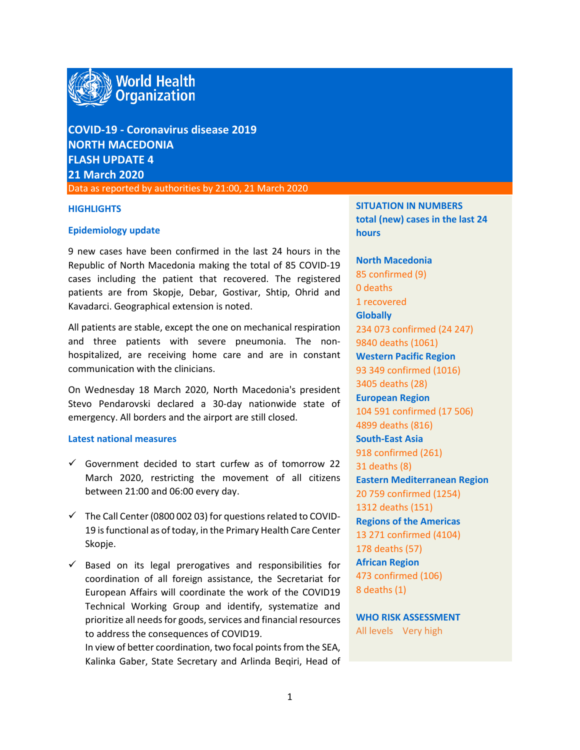

**COVID-19 - Coronavirus disease 2019 NORTH MACEDONIA FLASH UPDATE 4 21 March 2020**

Data as reported by authorities by 21:00, 21 March 2020

### **HIGHLIGHTS**

### **Epidemiology update**

9 new cases have been confirmed in the last 24 hours in the Republic of North Macedonia making the total of 85 COVID-19 cases including the patient that recovered. The registered patients are from Skopje, Debar, Gostivar, Shtip, Ohrid and Kavadarci. Geographical extension is noted.

All patients are stable, except the one on mechanical respiration and three patients with severe pneumonia. The nonhospitalized, are receiving home care and are in constant communication with the clinicians.

On Wednesday 18 March 2020, North Macedonia's president Stevo Pendarovski declared a 30-day nationwide state of emergency. All borders and the airport are still closed.

## **Latest national measures**

- $\checkmark$  Government decided to start curfew as of tomorrow 22 March 2020, restricting the movement of all citizens between 21:00 and 06:00 every day.
- $\checkmark$  The Call Center (0800 002 03) for questions related to COVID-19 is functional as of today, in the Primary Health Care Center Skopje.
- $\checkmark$  Based on its legal prerogatives and responsibilities for coordination of all foreign assistance, the Secretariat for European Affairs will coordinate the work of the COVID19 Technical Working Group and identify, systematize and prioritize all needs for goods, services and financial resources to address the consequences of COVID19.

In view of better coordination, two focal points from the SEA, Kalinka Gaber, State Secretary and Arlinda Beqiri, Head of **SITUATION IN NUMBERS total (new) cases in the last 24 hours**

**North Macedonia** 85 confirmed (9) 0 deaths 1 recovered **Globally**  234 073 confirmed (24 247) 9840 deaths (1061) **Western Pacific Region** 93 349 confirmed (1016) 3405 deaths (28) **European Region** 104 591 confirmed (17 506) 4899 deaths (816) **South-East Asia** 918 confirmed (261) 31 deaths (8) **Eastern Mediterranean Region** 20 759 confirmed (1254) 1312 deaths (151) **Regions of the Americas** 13 271 confirmed (4104) 178 deaths (57) **African Region** 473 confirmed (106) 8 deaths (1)

**WHO RISK ASSESSMENT**  All levels Very high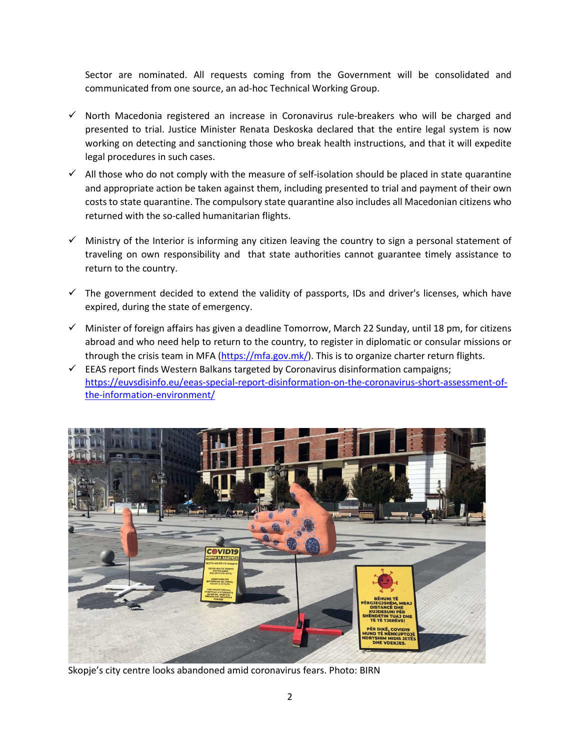Sector are nominated. All requests coming from the Government will be consolidated and communicated from one source, an ad-hoc Technical Working Group.

- $\checkmark$  North Macedonia registered an increase in Coronavirus rule-breakers who will be charged and presented to trial. Justice Minister Renata Deskoska declared that the entire legal system is now working on detecting and sanctioning those who break health instructions, and that it will expedite legal procedures in such cases.
- $\checkmark$  All those who do not comply with the measure of self-isolation should be placed in state quarantine and appropriate action be taken against them, including presented to trial and payment of their own costs to state quarantine. The compulsory state quarantine also includes all Macedonian citizens who returned with the so-called humanitarian flights.
- $\checkmark$  Ministry of the Interior is informing any citizen leaving the country to sign a personal statement of traveling on own responsibility and that state authorities cannot guarantee timely assistance to return to the country.
- $\checkmark$  The government decided to extend the validity of passports, IDs and driver's licenses, which have expired, during the state of emergency.
- $\checkmark$  Minister of foreign affairs has given a deadline Tomorrow, March 22 Sunday, until 18 pm, for citizens abroad and who need help to return to the country, to register in diplomatic or consular missions or through the crisis team in MFA [\(https://mfa.gov.mk/\)](https://mfa.gov.mk/). This is to organize charter return flights.
- $\checkmark$  EEAS report finds Western Balkans targeted by Coronavirus disinformation campaigns; [https://euvsdisinfo.eu/eeas-special-report-disinformation-on-the-coronavirus-short-assessment-of](https://euvsdisinfo.eu/eeas-special-report-disinformation-on-the-coronavirus-short-assessment-of-the-information-environment/)[the-information-environment/](https://euvsdisinfo.eu/eeas-special-report-disinformation-on-the-coronavirus-short-assessment-of-the-information-environment/)



Skopje's city centre looks abandoned amid coronavirus fears. Photo: BIRN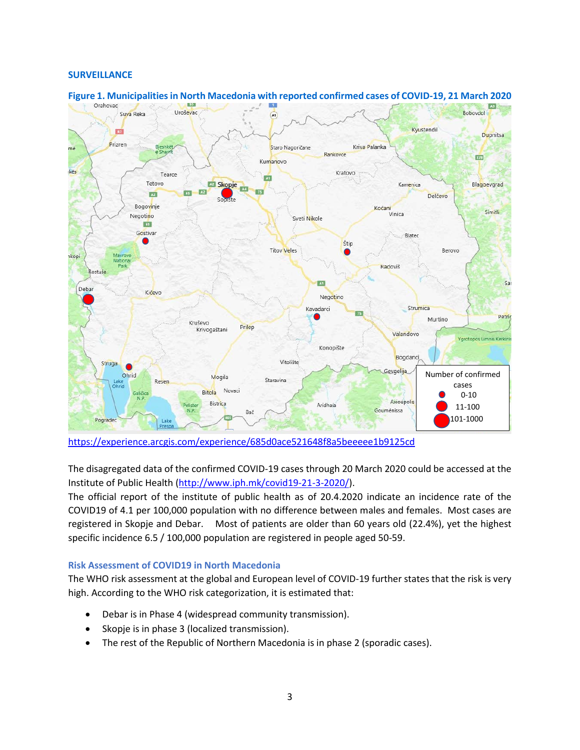## **SURVEILLANCE**



# **Figure 1. Municipalitiesin North Macedonia with reported confirmed cases of COVID-19, 21 March 2020**

<https://experience.arcgis.com/experience/685d0ace521648f8a5beeeee1b9125cd>

The disagregated data of the confirmed COVID-19 cases through 20 March 2020 could be accessed at the Institute of Public Health [\(http://www.iph.mk/covid19-21-3-2020/\)](http://www.iph.mk/covid19-21-3-2020/).

The official report of the institute of public health as of 20.4.2020 indicate an incidence rate of the COVID19 of 4.1 per 100,000 population with no difference between males and females. Most cases are registered in Skopje and Debar. Most of patients are older than 60 years old (22.4%), yet the highest specific incidence 6.5 / 100,000 population are registered in people aged 50-59.

# **Risk Assessment of COVID19 in North Macedonia**

The WHO risk assessment at the global and European level of COVID-19 further states that the risk is very high. According to the WHO risk categorization, it is estimated that:

- Debar is in Phase 4 (widespread community transmission).
- Skopje is in phase 3 (localized transmission).
- The rest of the Republic of Northern Macedonia is in phase 2 (sporadic cases).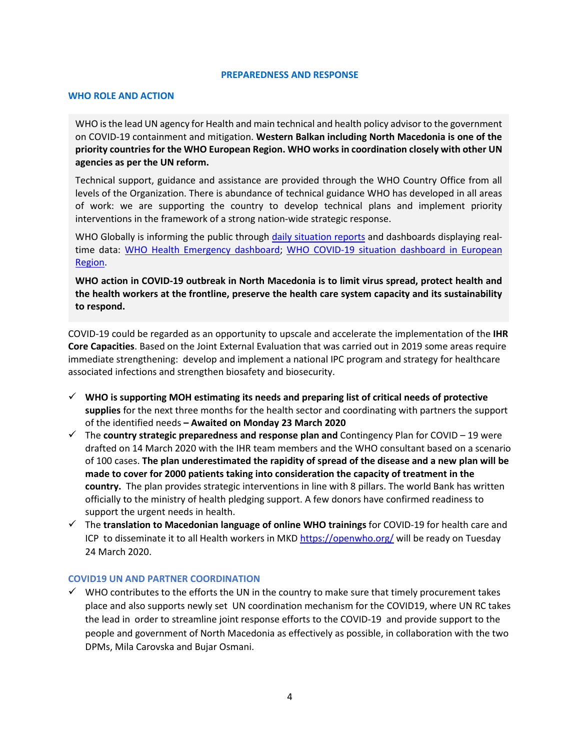#### **PREPAREDNESS AND RESPONSE**

## **WHO ROLE AND ACTION**

WHO is the lead UN agency for Health and main technical and health policy advisor to the government on COVID-19 containment and mitigation. **Western Balkan including North Macedonia is one of the priority countries for the WHO European Region. WHO works in coordination closely with other UN agencies as per the UN reform.** 

Technical support, guidance and assistance are provided through the WHO Country Office from all levels of the Organization. There is abundance of technical guidance WHO has developed in all areas of work: we are supporting the country to develop technical plans and implement priority interventions in the framework of a strong nation-wide strategic response.

WHO Globally is informing the public through [daily situation reports](https://www.who.int/emergencies/diseases/novel-coronavirus-2019/situation-reports/) and dashboards displaying real-time data: [WHO Health Emergency dashboard;](https://extranet.who.int/publicemergency) WHO COVID-19 situation dashboard in European [Region.](http://who.maps.arcgis.com/apps/opsdashboard/index.html#/ead3c6475654481ca51c248d52ab9c61)

**WHO action in COVID-19 outbreak in North Macedonia is to limit virus spread, protect health and the health workers at the frontline, preserve the health care system capacity and its sustainability to respond.** 

COVID-19 could be regarded as an opportunity to upscale and accelerate the implementation of the **IHR Core Capacities**. Based on the Joint External Evaluation that was carried out in 2019 some areas require immediate strengthening: develop and implement a national IPC program and strategy for healthcare associated infections and strengthen biosafety and biosecurity.

- **WHO is supporting MOH estimating its needs and preparing list of critical needs of protective supplies** for the next three months for the health sector and coordinating with partners the support of the identified needs **– Awaited on Monday 23 March 2020**
- The **country strategic preparedness and response plan and** Contingency Plan for COVID 19 were drafted on 14 March 2020 with the IHR team members and the WHO consultant based on a scenario of 100 cases. **The plan underestimated the rapidity of spread of the disease and a new plan will be made to cover for 2000 patients taking into consideration the capacity of treatment in the country.** The plan provides strategic interventions in line with 8 pillars. The world Bank has written officially to the ministry of health pledging support. A few donors have confirmed readiness to support the urgent needs in health.
- The **translation to Macedonian language of online WHO trainings** for COVID-19 for health care and ICP to disseminate it to all Health workers in MKD<https://openwho.org/> will be ready on Tuesday 24 March 2020.

## **COVID19 UN AND PARTNER COORDINATION**

 $\checkmark$  WHO contributes to the efforts the UN in the country to make sure that timely procurement takes place and also supports newly set UN coordination mechanism for the COVID19, where UN RC takes the lead in order to streamline joint response efforts to the COVID-19 and provide support to the people and government of North Macedonia as effectively as possible, in collaboration with the two DPMs, Mila Carovska and Bujar Osmani.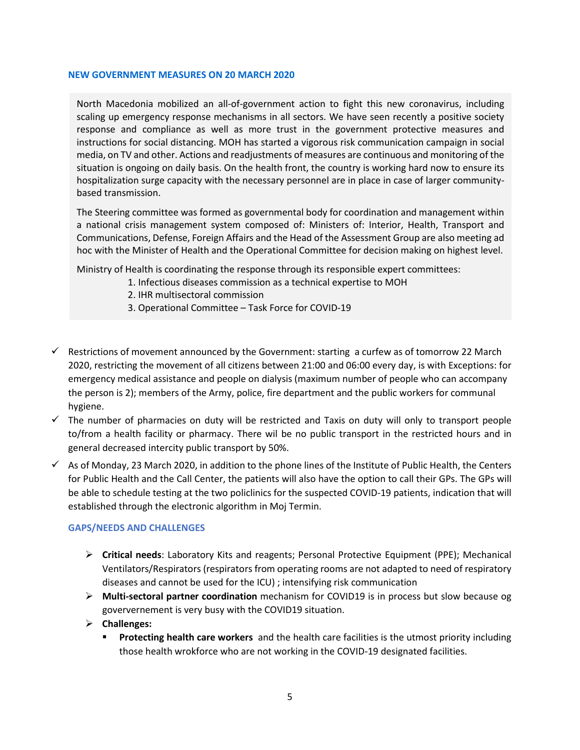## **NEW GOVERNMENT MEASURES ON 20 MARCH 2020**

North Macedonia mobilized an all-of-government action to fight this new coronavirus, including scaling up emergency response mechanisms in all sectors. We have seen recently a positive society response and compliance as well as more trust in the government protective measures and instructions for social distancing. MOH has started a vigorous risk communication campaign in social media, on TV and other. Actions and readjustments of measures are continuous and monitoring of the situation is ongoing on daily basis. On the health front, the country is working hard now to ensure its hospitalization surge capacity with the necessary personnel are in place in case of larger communitybased transmission.

The Steering committee was formed as governmental body for coordination and management within a national crisis management system composed of: Ministers of: Interior, Health, Transport and Communications, Defense, Foreign Affairs and the Head of the Assessment Group are also meeting ad hoc with the Minister of Health and the Operational Committee for decision making on highest level.

Ministry of Health is coordinating the response through its responsible expert committees:

- 1. Infectious diseases commission as a technical expertise to MOH
- 2. IHR multisectoral commission
- 3. Operational Committee Task Force for COVID-19
- $\checkmark$  Restrictions of movement announced by the Government: starting a curfew as of tomorrow 22 March 2020, restricting the movement of all citizens between 21:00 and 06:00 every day, is with Exceptions: for emergency medical assistance and people on dialysis (maximum number of people who can accompany the person is 2); members of the Army, police, fire department and the public workers for communal hygiene.
- $\checkmark$  The number of pharmacies on duty will be restricted and Taxis on duty will only to transport people to/from a health facility or pharmacy. There wil be no public transport in the restricted hours and in general decreased intercity public transport by 50%.
- $\checkmark$  As of Monday, 23 March 2020, in addition to the phone lines of the Institute of Public Health, the Centers for Public Health and the Call Center, the patients will also have the option to call their GPs. The GPs will be able to schedule testing at the two policlinics for the suspected COVID-19 patients, indication that will established through the electronic algorithm in Moj Termin.

# **GAPS/NEEDS AND CHALLENGES**

- **Critical needs**: Laboratory Kits and reagents; Personal Protective Equipment (PPE); Mechanical Ventilators/Respirators (respirators from operating rooms are not adapted to need of respiratory diseases and cannot be used for the ICU) ; intensifying risk communication
- **Multi-sectoral partner coordination** mechanism for COVID19 is in process but slow because og goververnement is very busy with the COVID19 situation.
- **Challenges:** 
	- **Protecting health care workers** and the health care facilities is the utmost priority including those health wrokforce who are not working in the COVID-19 designated facilities.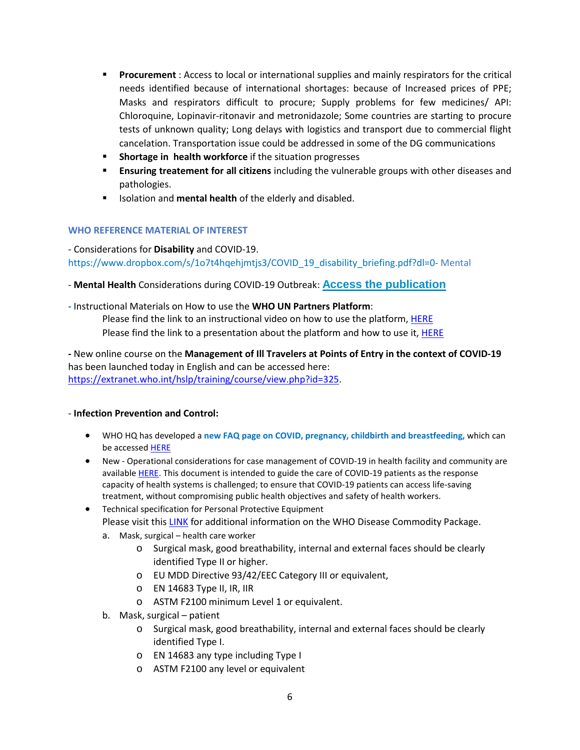- **Procurement** : Access to local or international supplies and mainly respirators for the critical needs identified because of international shortages: because of Increased prices of PPE; Masks and respirators difficult to procure; Supply problems for few medicines/ API: Chloroquine, Lopinavir-ritonavir and metronidazole; Some countries are starting to procure tests of unknown quality; Long delays with logistics and transport due to commercial flight cancelation. Transportation issue could be addressed in some of the DG communications
- **Shortage in health workforce** if the situation progresses
- **Ensuring treatement for all citizens** including the vulnerable groups with other diseases and pathologies.
- **ISOLATER 19 ISOLATE:** Isolation and **mental health** of the elderly and disabled.

# **WHO REFERENCE MATERIAL OF INTEREST**

- Considerations for **Disability** and COVID-19. https://www.dropbox.com/s/1o7t4hqehjmtjs3/COVID\_19\_disability\_briefing.pdf?dl=0- Mental

- **Mental Health** Considerations during COVID-19 Outbreak: **[Access the publication](https://www.who.int/docs/default-source/coronaviruse/mental-health-considerations.pdf?sfvrsn=6d3578af_10)**

**-** Instructional Materials on How to use the **WHO UN Partners Platform**: Please find the link to an instructional video on how to use the platform, HERE Please find the link to a presentation about the platform and how to use it, HERE

**-** New online course on the **Management of Ill Travelers at Points of Entry in the context of COVID-19** has been launched today in English and can be accessed here: [https://extranet.who.int/hslp/training/course/view.php?id=325.](https://extranet.who.int/hslp/training/course/view.php?id=325)

# - **Infection Prevention and Control:**

- WHO HQ has developed a **new FAQ page on COVID, pregnancy, childbirth and breastfeeding,** which can be accessed [HERE](https://www.who.int/news-room/q-a-detail/q-a-on-covid-19-pregnancy-childbirth-and-breastfeeding)
- New Operational considerations for case management of COVID-19 in health facility and community are available [HERE.](https://www.who.int/emergencies/diseases/novel-coronavirus-2019/technical-guidance/patient-management) This document is intended to guide the care of COVID-19 patients as the response capacity of health systems is challenged; to ensure that COVID-19 patients can access life-saving treatment, without compromising public health objectives and safety of health workers.
- Technical specification for Personal Protective Equipment Please visit thi[s LINK](https://www.who.int/publications-detail/disease-commodity-package---novel-coronavirus-(ncov)) for additional information on the WHO Disease Commodity Package.
	- a. Mask, surgical health care worker
		- o Surgical mask, good breathability, internal and external faces should be clearly identified Type II or higher.
		- o EU MDD Directive 93/42/EEC Category III or equivalent,
		- o EN 14683 Type II, IR, IIR
		- o ASTM F2100 minimum Level 1 or equivalent.
	- b. Mask, surgical patient
		- o Surgical mask, good breathability, internal and external faces should be clearly identified Type I.
		- o EN 14683 any type including Type I
		- o ASTM F2100 any level or equivalent